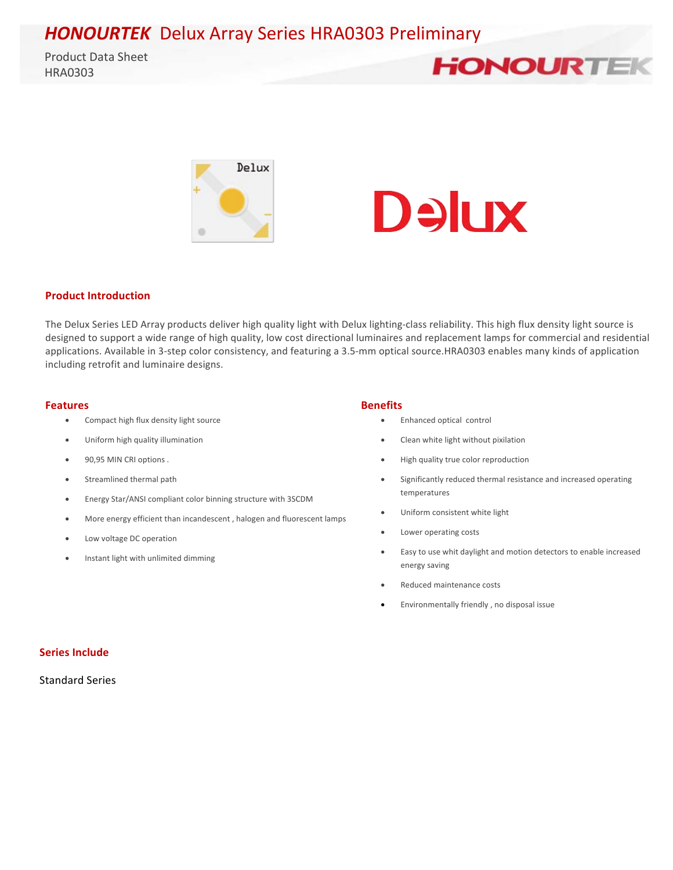**HONOURTEK** Delux Array Series HRA0303 Preliminary

Product Data Sheet HRA0303 







#### **Product Introduction**

The Delux Series LED Array products deliver high quality light with Delux lighting-class reliability. This high flux density light source is designed to support a wide range of high quality, low cost directional luminaires and replacement lamps for commercial and residential applications. Available in 3-step color consistency, and featuring a 3.5-mm optical source.HRA0303 enables many kinds of application including retrofit and luminaire designs.

#### **Features Benefits**

- Compact high flux density light source
- Uniform high quality illumination
- 90,95 MIN CRI options .
- Streamlined thermal path
- Energy Star/ANSI compliant color binning structure with 3SCDM
- More energy efficient than incandescent, halogen and fluorescent lamps
- Low voltage DC operation
- Instant light with unlimited dimming

- Enhanced optical control
- Clean white light without pixilation
- High quality true color reproduction
- Significantly reduced thermal resistance and increased operating temperatures
- Uniform consistent white light
- Lower operating costs
- Easy to use whit daylight and motion detectors to enable increased energy saving
- Reduced maintenance costs
- Environmentally friendly, no disposal issue

#### **Series Include**

Standard Series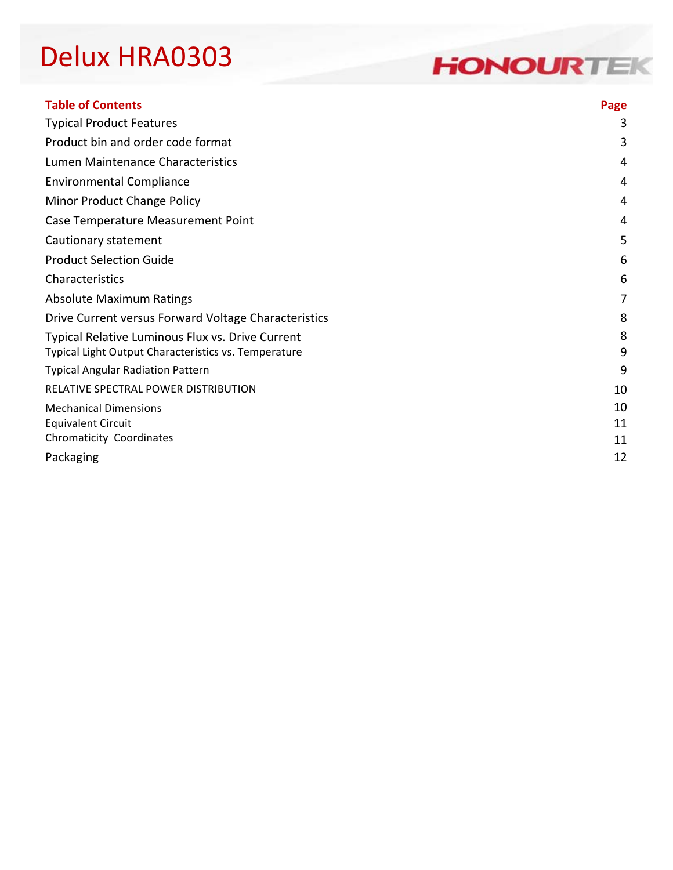### **HONOURTEK**

| <b>Table of Contents</b>                                | Page |
|---------------------------------------------------------|------|
| <b>Typical Product Features</b>                         | 3    |
| Product bin and order code format                       | 3    |
| Lumen Maintenance Characteristics                       | 4    |
| <b>Environmental Compliance</b>                         | 4    |
| Minor Product Change Policy                             | 4    |
| Case Temperature Measurement Point                      | 4    |
| Cautionary statement                                    | 5    |
| <b>Product Selection Guide</b>                          | 6    |
| Characteristics                                         | 6    |
| <b>Absolute Maximum Ratings</b>                         | 7    |
| Drive Current versus Forward Voltage Characteristics    | 8    |
| <b>Typical Relative Luminous Flux vs. Drive Current</b> | 8    |
| Typical Light Output Characteristics vs. Temperature    | 9    |
| <b>Typical Angular Radiation Pattern</b>                | 9    |
| RELATIVE SPECTRAL POWER DISTRIBUTION                    | 10   |
| <b>Mechanical Dimensions</b>                            | 10   |
| <b>Equivalent Circuit</b>                               | 11   |
| Chromaticity Coordinates                                | 11   |
| Packaging                                               | 12   |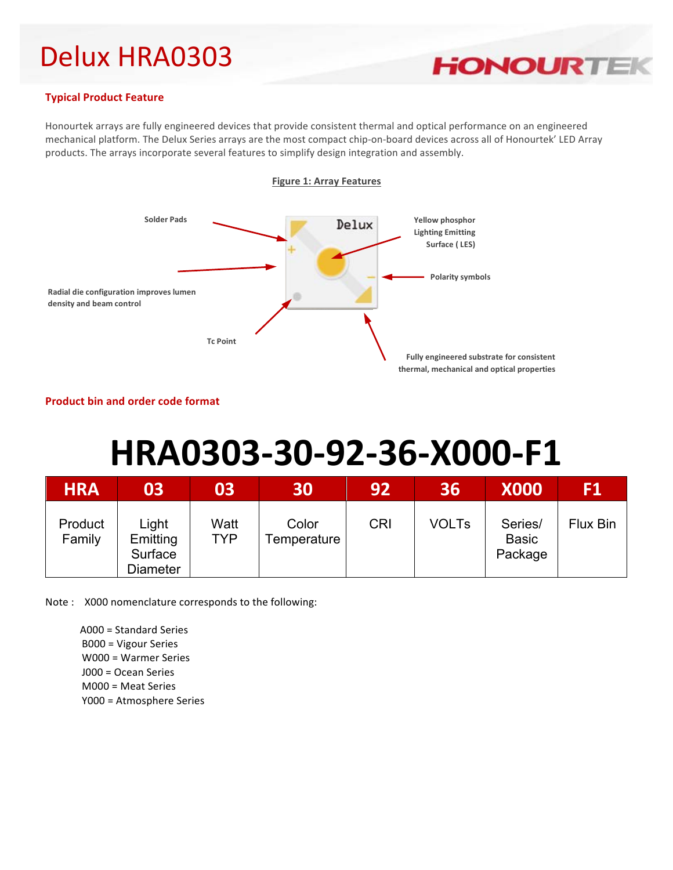

#### **Typical Product Feature**

Honourtek arrays are fully engineered devices that provide consistent thermal and optical performance on an engineered mechanical platform. The Delux Series arrays are the most compact chip-on-board devices across all of Honourtek' LED Array products. The arrays incorporate several features to simplify design integration and assembly.



#### **Product bin and order code format**

# **HRA0303-30-92-36-X000-F1**

| <b>HRA</b>        | 03                                       | 03          | 30                   | 92         | 36           | <b>X000</b>                        | F1       |
|-------------------|------------------------------------------|-------------|----------------------|------------|--------------|------------------------------------|----------|
| Product<br>Family | Light<br>Emitting<br>Surface<br>Diameter | Watt<br>TYP | Color<br>Temperature | <b>CRI</b> | <b>VOLTs</b> | Series/<br><b>Basic</b><br>Package | Flux Bin |

Note: X000 nomenclature corresponds to the following:

A000 = Standard Series **B000** = Vigour Series **W000** = Warmer Series **J000** = Ocean Series **M000** = Meat Series Y000 = Atmosphere Series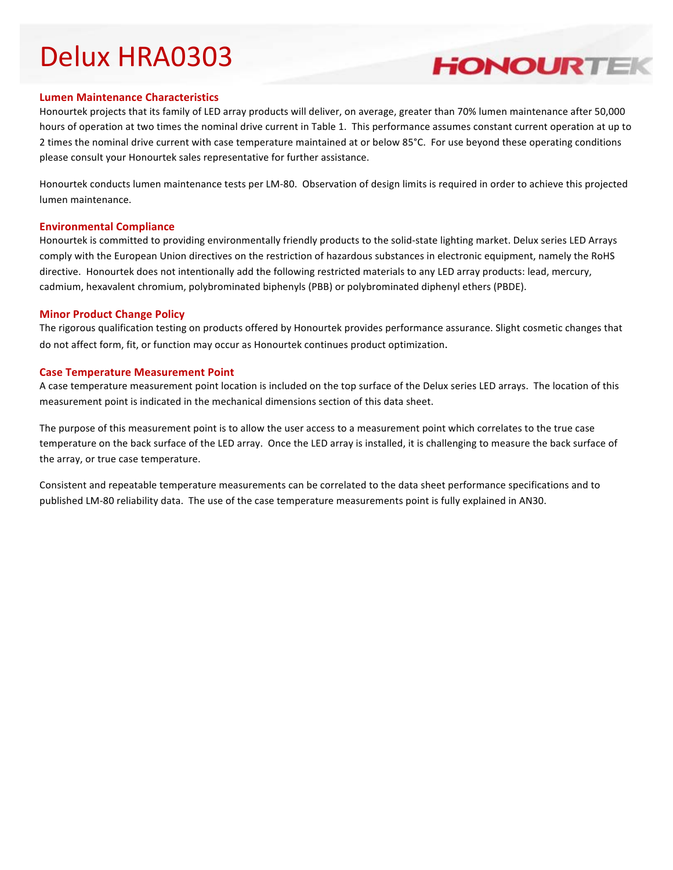#### **Lumen Maintenance Characteristics**

Honourtek projects that its family of LED array products will deliver, on average, greater than 70% lumen maintenance after 50,000 hours of operation at two times the nominal drive current in Table 1. This performance assumes constant current operation at up to 2 times the nominal drive current with case temperature maintained at or below 85°C. For use beyond these operating conditions please consult your Honourtek sales representative for further assistance.

**HONOURTEK** 

Honourtek conducts lumen maintenance tests per LM-80. Observation of design limits is required in order to achieve this projected lumen maintenance.

#### **Environmental Compliance**

Honourtek is committed to providing environmentally friendly products to the solid-state lighting market. Delux series LED Arrays comply with the European Union directives on the restriction of hazardous substances in electronic equipment, namely the RoHS directive. Honourtek does not intentionally add the following restricted materials to any LED array products: lead, mercury, cadmium, hexavalent chromium, polybrominated biphenyls (PBB) or polybrominated diphenyl ethers (PBDE).

#### **Minor Product Change Policy**

The rigorous qualification testing on products offered by Honourtek provides performance assurance. Slight cosmetic changes that do not affect form, fit, or function may occur as Honourtek continues product optimization.

#### **Case Temperature Measurement Point**

A case temperature measurement point location is included on the top surface of the Delux series LED arrays. The location of this measurement point is indicated in the mechanical dimensions section of this data sheet.

The purpose of this measurement point is to allow the user access to a measurement point which correlates to the true case temperature on the back surface of the LED array. Once the LED array is installed, it is challenging to measure the back surface of the array, or true case temperature.

Consistent and repeatable temperature measurements can be correlated to the data sheet performance specifications and to published LM-80 reliability data. The use of the case temperature measurements point is fully explained in AN30.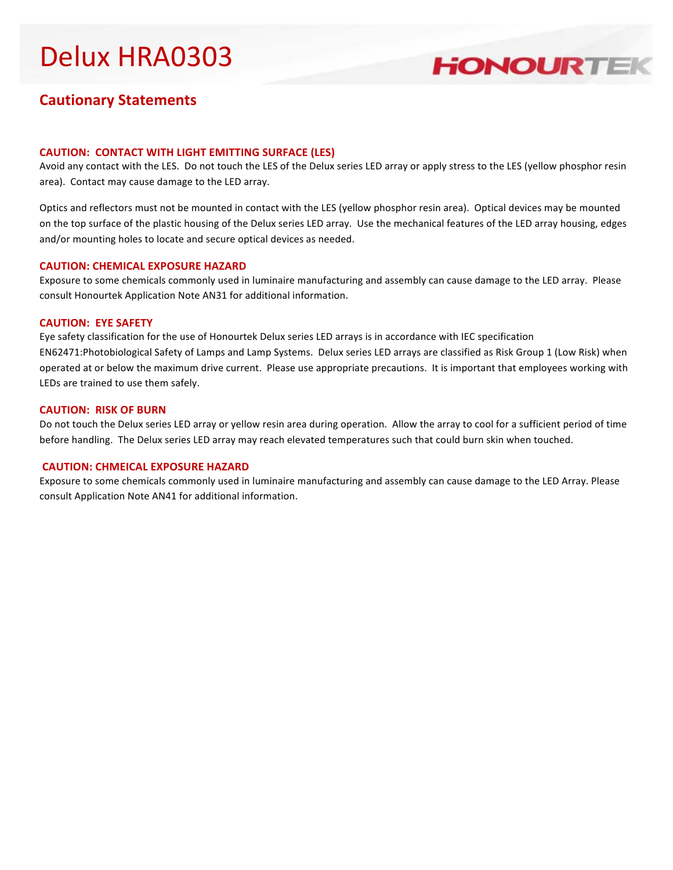

### **Cautionary Statements**

#### **CAUTION: CONTACT WITH LIGHT EMITTING SURFACE (LES)**

Avoid any contact with the LES. Do not touch the LES of the Delux series LED array or apply stress to the LES (yellow phosphor resin area). Contact may cause damage to the LED array.

Optics and reflectors must not be mounted in contact with the LES (yellow phosphor resin area). Optical devices may be mounted on the top surface of the plastic housing of the Delux series LED array. Use the mechanical features of the LED array housing, edges and/or mounting holes to locate and secure optical devices as needed.

#### **CAUTION: CHEMICAL EXPOSURE HAZARD**

Exposure to some chemicals commonly used in luminaire manufacturing and assembly can cause damage to the LED array. Please consult Honourtek Application Note AN31 for additional information.

#### **CAUTION: EYE SAFETY**

Eye safety classification for the use of Honourtek Delux series LED arrays is in accordance with IEC specification EN62471:Photobiological Safety of Lamps and Lamp Systems. Delux series LED arrays are classified as Risk Group 1 (Low Risk) when operated at or below the maximum drive current. Please use appropriate precautions. It is important that employees working with LEDs are trained to use them safely.

#### **CAUTION: RISK OF BURN**

Do not touch the Delux series LED array or yellow resin area during operation. Allow the array to cool for a sufficient period of time before handling. The Delux series LED array may reach elevated temperatures such that could burn skin when touched.

#### **CAUTION: CHMEICAL EXPOSURE HAZARD**

Exposure to some chemicals commonly used in luminaire manufacturing and assembly can cause damage to the LED Array. Please consult Application Note AN41 for additional information.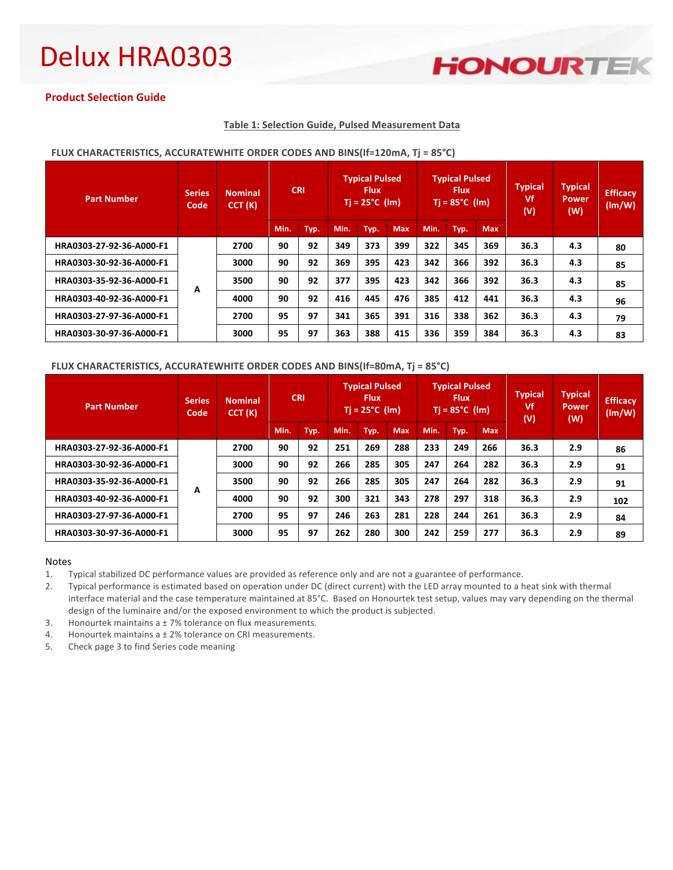### **HONOURTEK**

#### **Product Selection Guide**

#### **Table 1: Selection Guide, Pulsed Measurement Data**

| <b>Part Number</b>       | <b>Series</b><br>Code | <b>Nominal</b><br>CCT(K) |      | <b>CRI</b> |      | <b>Typical Pulsed</b><br><b>Flux</b><br>$Ti = 25^{\circ}C$ (lm) |            |      | <b>Typical Pulsed</b><br><b>Flux</b><br>$Tj = 85^{\circ}C$ (lm) |            | <b>Typical</b><br>Vf<br>(V) | <b>Typical</b><br>Power<br>(W) | <b>Efficacy</b><br>(lm/W) |
|--------------------------|-----------------------|--------------------------|------|------------|------|-----------------------------------------------------------------|------------|------|-----------------------------------------------------------------|------------|-----------------------------|--------------------------------|---------------------------|
|                          |                       |                          | Min. | Typ.       | Min. | Typ.                                                            | <b>Max</b> | Min. | Typ.                                                            | <b>Max</b> |                             |                                |                           |
| HRA0303-27-92-36-A000-F1 | A                     | 2700                     | 90   | 92         | 349  | 373                                                             | 399        | 322  | 345                                                             | 369        | 36.3                        | 4.3                            | 80                        |
| HRA0303-30-92-36-A000-F1 |                       | 3000                     | 90   | 92         | 369  | 395                                                             | 423        | 342  | 366                                                             | 392        | 36.3                        | 4.3                            | 85                        |
| HRA0303-35-92-36-A000-F1 |                       | 3500                     | 90   | 92         | 377  | 395                                                             | 423        | 342  | 366                                                             | 392        | 36.3                        | 4.3                            | 85                        |
| HRA0303-40-92-36-A000-F1 |                       | 4000                     | 90   | 92         | 416  | 445                                                             | 476        | 385  | 412                                                             | 441        | 36.3                        | 4.3                            | 96                        |
| HRA0303-27-97-36-A000-F1 |                       | 2700                     | 95   | 97         | 341  | 365                                                             | 391        | 316  | 338                                                             | 362        | 36.3                        | 4.3                            | 79                        |
| HRA0303-30-97-36-A000-F1 |                       | 3000                     | 95   | 97         | 363  | 388                                                             | 415        | 336  | 359                                                             | 384        | 36.3                        | 4.3                            | 83                        |

#### FLUX CHARACTERISTICS, ACCURATEWHITE ORDER CODES AND BINS(If=120mA, Tj = 85°C)

#### FLUX CHARACTERISTICS, ACCURATEWHITE ORDER CODES AND BINS(If=80mA, Tj = 85°C)

| <b>Part Number</b>       | Series<br>Code | <b>CRI</b><br><b>Nominal</b><br>CCT(K) |      | <b>Typical Pulsed</b><br><b>Flux</b><br>$Ti = 25^{\circ}C$ (lm) |      |      | <b>Typical Pulsed</b><br><b>Flux</b><br>$Ti = 85^{\circ}C$ (lm) |      |      | <b>Typical</b><br>Vf<br>(V) | <b>Typical</b><br>Power<br>(W) | <b>Efficacy</b><br>(lm/W) |     |
|--------------------------|----------------|----------------------------------------|------|-----------------------------------------------------------------|------|------|-----------------------------------------------------------------|------|------|-----------------------------|--------------------------------|---------------------------|-----|
|                          |                |                                        | Min. | Typ.                                                            | Min. | Typ. | <b>Max</b>                                                      | Min. | Typ. | <b>Max</b>                  |                                |                           |     |
| HRA0303-27-92-36-A000-F1 | А              | 2700                                   | 90   | 92                                                              | 251  | 269  | 288                                                             | 233  | 249  | 266                         | 36.3                           | 2.9                       | 86  |
| HRA0303-30-92-36-A000-F1 |                | 3000                                   | 90   | 92                                                              | 266  | 285  | 305                                                             | 247  | 264  | 282                         | 36.3                           | 2.9                       | 91  |
| HRA0303-35-92-36-A000-F1 |                | 3500                                   | 90   | 92                                                              | 266  | 285  | 305                                                             | 247  | 264  | 282                         | 36.3                           | 2.9                       | 91  |
| HRA0303-40-92-36-A000-F1 |                | 4000                                   | 90   | 92                                                              | 300  | 321  | 343                                                             | 278  | 297  | 318                         | 36.3                           | 2.9                       | 102 |
| HRA0303-27-97-36-A000-F1 |                | 2700                                   | 95   | 97                                                              | 246  | 263  | 281                                                             | 228  | 244  | 261                         | 36.3                           | 2.9                       | 84  |
| HRA0303-30-97-36-A000-F1 |                | 3000                                   | 95   | 97                                                              | 262  | 280  | 300                                                             | 242  | 259  | 277                         | 36.3                           | 2.9                       | 89  |

#### Notes

1. Typical stabilized DC performance values are provided as reference only and are not a guarantee of performance.

2. Typical performance is estimated based on operation under DC (direct current) with the LED array mounted to a heat sink with thermal interface material and the case temperature maintained at 85°C. Based on Honourtek test setup, values may vary depending on the thermal design of the luminaire and/or the exposed environment to which the product is subjected.

3. Honourtek maintains a  $\pm$  7% tolerance on flux measurements.

4. Honourtek maintains  $a \pm 2$ % tolerance on CRI measurements.

5. Check page 3 to find Series code meaning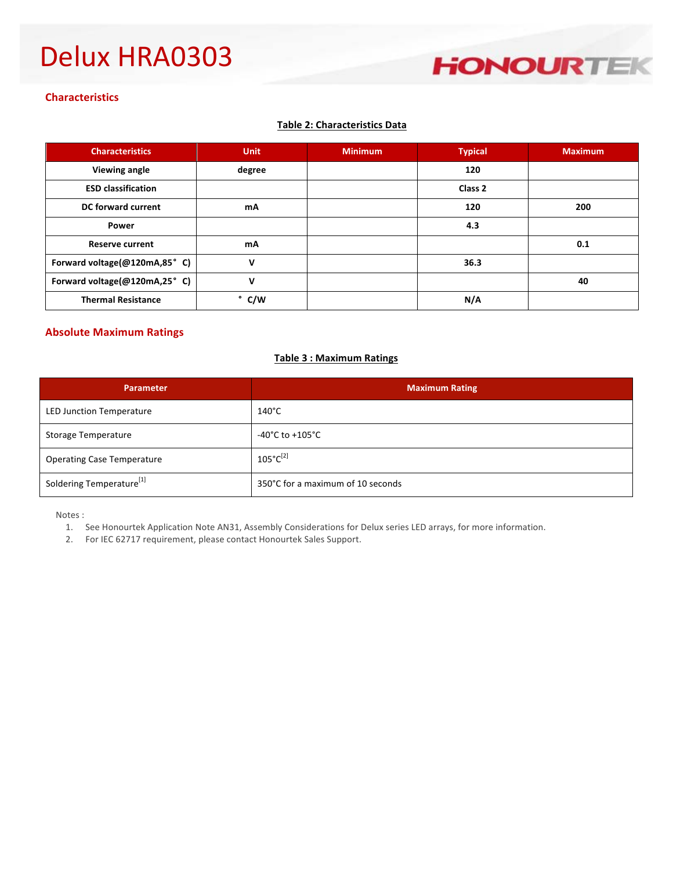

#### **Characteristics**

#### **Table 2: Characteristics Data**

| <b>Characteristics</b>       | <b>Unit</b> | <b>Minimum</b> | <b>Typical</b> | <b>Maximum</b> |
|------------------------------|-------------|----------------|----------------|----------------|
| Viewing angle                | degree      |                | 120            |                |
| <b>ESD classification</b>    |             |                | Class 2        |                |
| DC forward current           | mA          |                | 120            | 200            |
| Power                        |             |                | 4.3            |                |
| <b>Reserve current</b>       | mA          |                |                | 0.1            |
| Forward voltage(@120mA,85°C) | v           |                | 36.3           |                |
| Forward voltage(@120mA,25°C) | v           |                |                | 40             |
| <b>Thermal Resistance</b>    | ۰<br>C/W    |                | N/A            |                |

#### **Absolute Maximum Ratings**

#### **Table 3 : Maximum Ratings**

| <b>Parameter</b>                     | <b>Maximum Rating</b>               |
|--------------------------------------|-------------------------------------|
| <b>LED Junction Temperature</b>      | $140^{\circ}$ C                     |
| <b>Storage Temperature</b>           | $-40^{\circ}$ C to $+105^{\circ}$ C |
| <b>Operating Case Temperature</b>    | $105^{\circ}C^{[2]}$                |
| Soldering Temperature <sup>[1]</sup> | 350°C for a maximum of 10 seconds   |

Notes :

- 1. See Honourtek Application Note AN31, Assembly Considerations for Delux series LED arrays, for more information.
- 2. For IEC 62717 requirement, please contact Honourtek Sales Support.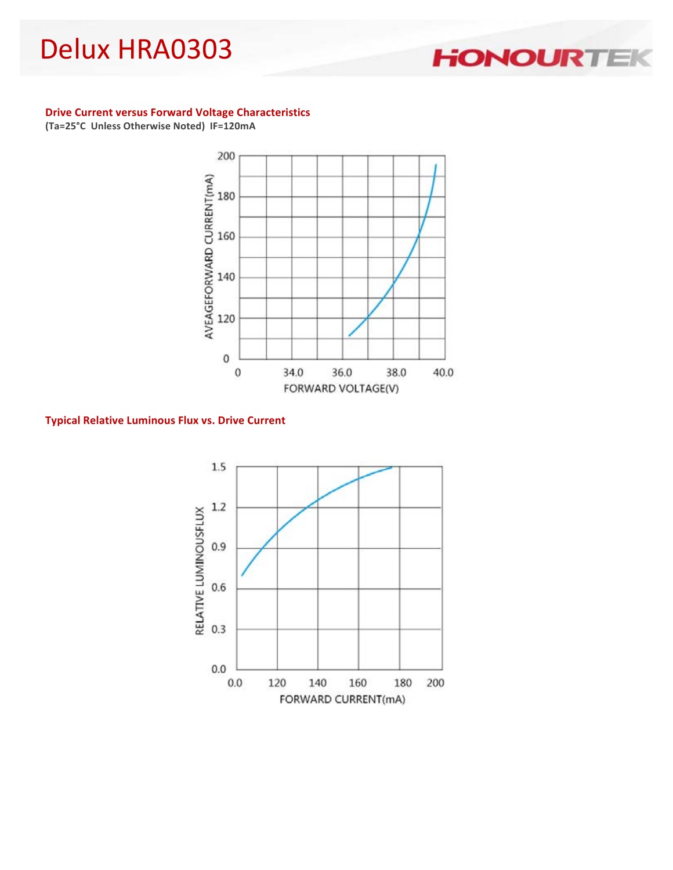#### **Drive Current versus Forward Voltage Characteristics**

**(Ta=25°C Unless Otherwise Noted) IF=120mA**



**Typical Relative Luminous Flux vs. Drive Current**



### **HONOURTE**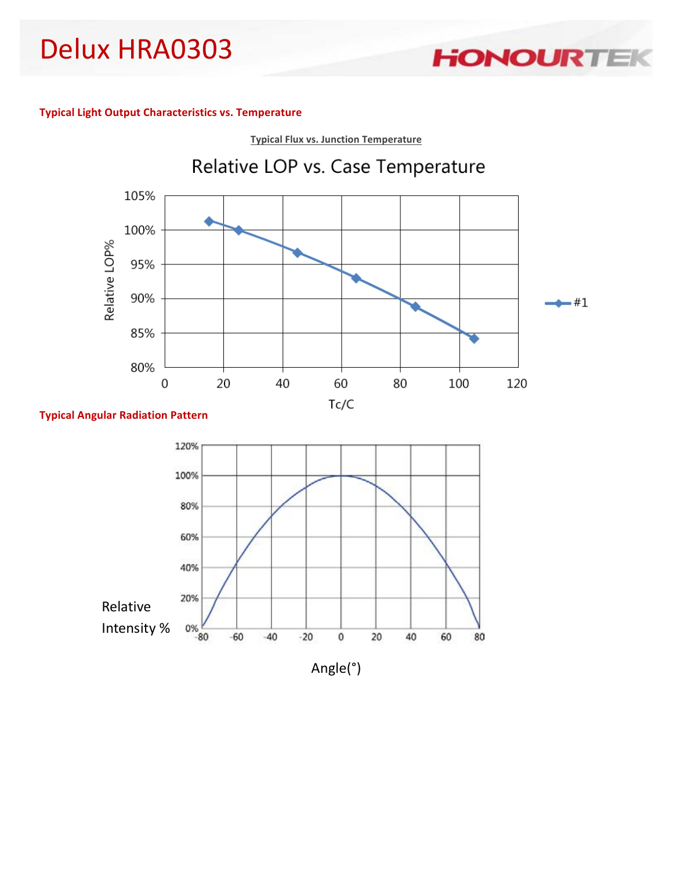**Typical Light Output Characteristics vs. Temperature**



**HONOURTE** 

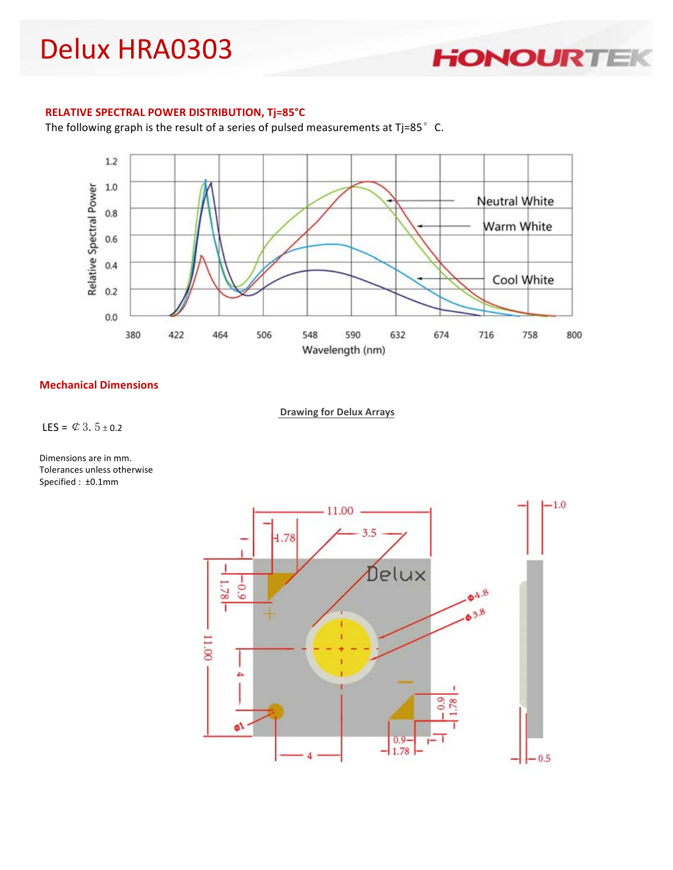

#### **RELATIVE SPECTRAL POWER DISTRIBUTION, Tj=85°C**

The following graph is the result of a series of pulsed measurements at Tj=85 $^{\circ}$  C.



#### **Mechanical Dimensions**

**Drawing for Delux Arrays** 

LES =  $\&$  3.5 ± 0.2

Dimensions are in mm. Tolerances unless otherwise Specified : ±0.1mm

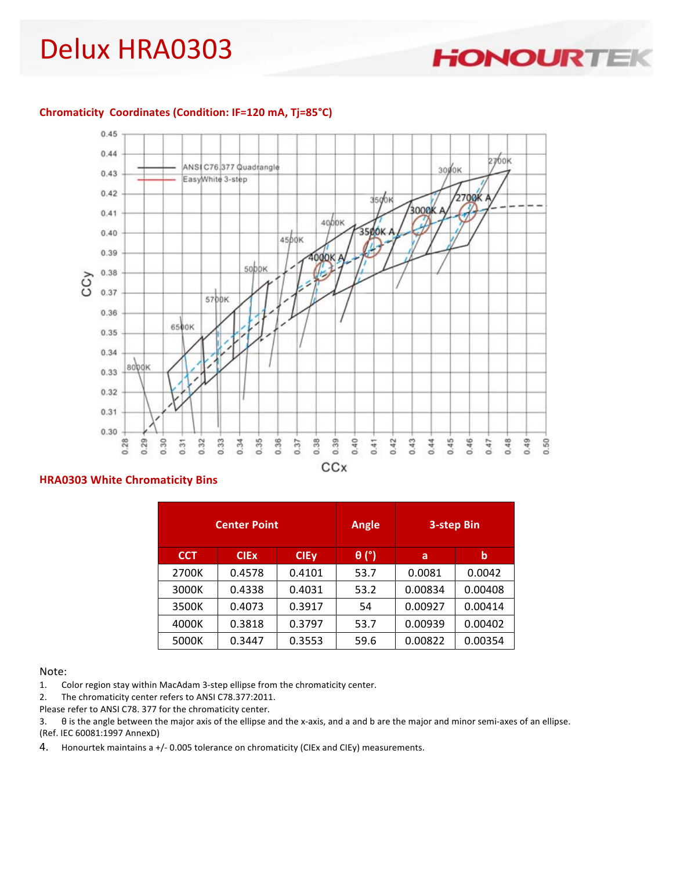**HONOURTE** 

#### Chromaticity Coordinates (Condition: IF=120 mA, Tj=85°C)



CCx

#### **HRA0303 White Chromaticity Bins**

|            | <b>Center Point</b> |             | Angle        |         | 3-step Bin |
|------------|---------------------|-------------|--------------|---------|------------|
| <b>CCT</b> | <b>CIEx</b>         | <b>CIEy</b> | $\theta$ (°) | a       | b          |
| 2700K      | 0.4578              | 0.4101      | 53.7         | 0.0081  | 0.0042     |
| 3000K      | 0.4338              | 0.4031      | 53.2         | 0.00834 | 0.00408    |
| 3500K      | 0.4073              | 0.3917      | 54           | 0.00927 | 0.00414    |
| 4000K      | 0.3818              | 0.3797      | 53.7         | 0.00939 | 0.00402    |
| 5000K      | 0.3447              | 0.3553      | 59.6         | 0.00822 | 0.00354    |

#### Note:

1. Color region stay within MacAdam 3-step ellipse from the chromaticity center.

2. The chromaticity center refers to ANSI C78.377:2011.

Please refer to ANSI C78. 377 for the chromaticity center.

3.  $\theta$  is the angle between the major axis of the ellipse and the x-axis, and a and b are the major and minor semi-axes of an ellipse. (Ref. IEC 60081:1997 AnnexD)

4. Honourtek maintains a +/- 0.005 tolerance on chromaticity (CIEx and CIEy) measurements.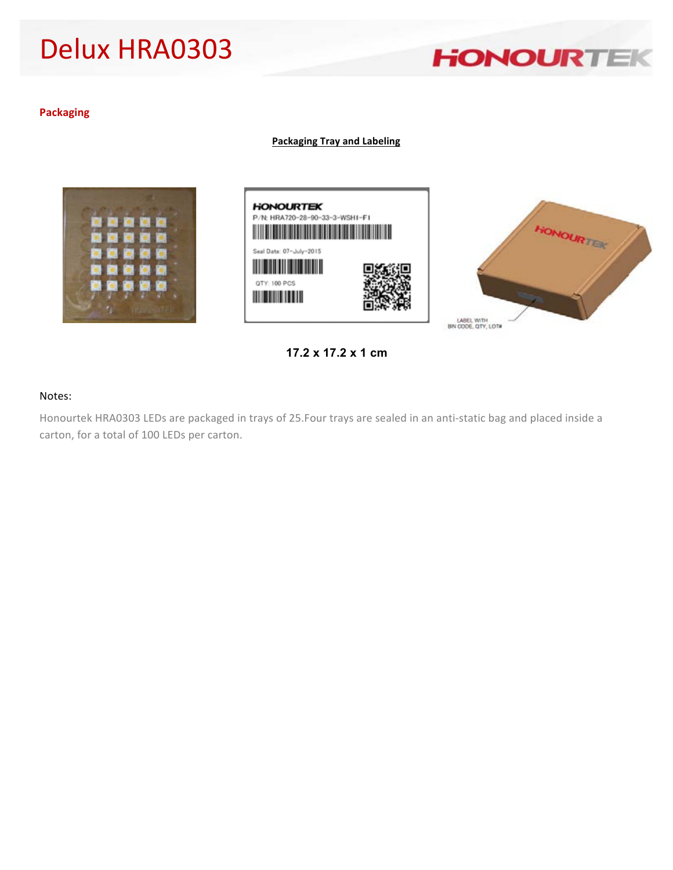

#### **Packaging**

**Packaging Tray and Labeling**





**17.2 x 17.2 x 1 cm**

#### Notes:

Honourtek HRA0303 LEDs are packaged in trays of 25.Four trays are sealed in an anti-static bag and placed inside a carton, for a total of 100 LEDs per carton.